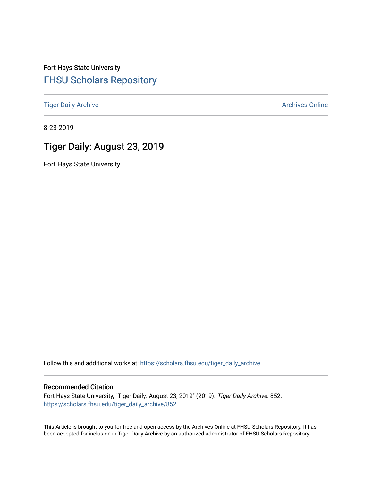Fort Hays State University [FHSU Scholars Repository](https://scholars.fhsu.edu/) 

[Tiger Daily Archive](https://scholars.fhsu.edu/tiger_daily_archive) **Archives** Online Archives Online

8-23-2019

# Tiger Daily: August 23, 2019

Fort Hays State University

Follow this and additional works at: [https://scholars.fhsu.edu/tiger\\_daily\\_archive](https://scholars.fhsu.edu/tiger_daily_archive?utm_source=scholars.fhsu.edu%2Ftiger_daily_archive%2F852&utm_medium=PDF&utm_campaign=PDFCoverPages)

#### Recommended Citation

Fort Hays State University, "Tiger Daily: August 23, 2019" (2019). Tiger Daily Archive. 852. [https://scholars.fhsu.edu/tiger\\_daily\\_archive/852](https://scholars.fhsu.edu/tiger_daily_archive/852?utm_source=scholars.fhsu.edu%2Ftiger_daily_archive%2F852&utm_medium=PDF&utm_campaign=PDFCoverPages)

This Article is brought to you for free and open access by the Archives Online at FHSU Scholars Repository. It has been accepted for inclusion in Tiger Daily Archive by an authorized administrator of FHSU Scholars Repository.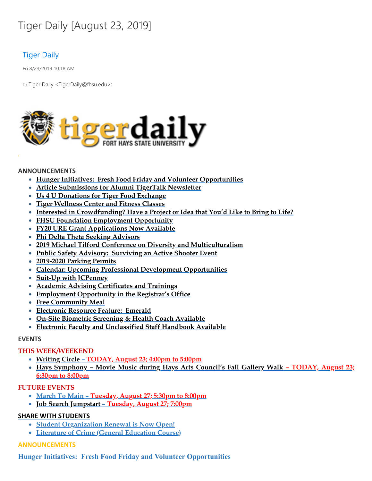# Tiger Daily [August 23, 2019]

# Tiger Daily

Fri 8/23/2019 10:18 AM

To: Tiger Daily < TigerDaily@fhsu.edu>;



#### **ANNOUNCEMENTS**

- **Hunger Initiatives: Fresh Food Friday and Volunteer Opportunities**
- **Article Submissions for Alumni TigerTalk Newsletter**
- **Us 4 U Donations for Tiger Food Exchange**
- **Tiger Wellness Center and Fitness Classes**
- **Interested in Crowdfunding? Have a Project or Idea that You'd Like to Bring to Life?**
- **FHSU Foundation Employment Opportunity**
- **FY20 URE Grant Applications Now Available**
- **Phi Delta Theta Seeking Advisors**
- **2019 Michael Tilford Conference on Diversity and Multiculturalism**
- **Public Safety Advisory: Surviving an Active Shooter Event**
- **2019-2020 Parking Permits**
- **Calendar: Upcoming Professional Development Opportunities**
- **Suit-Up with JCPenney**
- **Academic Advising Certificates and Trainings**
- **Employment Opportunity in the Registrar's Office**
- **Free Community Meal**
- **Electronic Resource Feature: Emerald**
- **On-Site Biometric Screening & Health Coach Available**
- **Electronic Faculty and Unclassified Staff Handbook Available**

#### **EVENTS**

## **THIS WEEK/WEEKEND**

- **[Writing](#page-8-0) Circle – TODAY, August 23; 4:00pm to 5:00pm**
- **Hays Symphony – Movie Music during Hays Arts Council's Fall Gallery Walk – TODAY, August 23; 6:30pm to 8:00pm**

## **FUTURE EVENTS**

- **March To Main – Tuesday, August 27; 5:30pm to 8:00pm**
- **Job Search Jumpstart – Tuesday, August 27; 7:00pm**

## **SHARE WITH STUDENTS**

- **Student Organization Renewal is Now Open!**
- **Literature of Crime (General Education Course)**

# **ANNOUNCEMENTS**

**Hunger Initiatives: Fresh Food Friday and Volunteer Opportunities**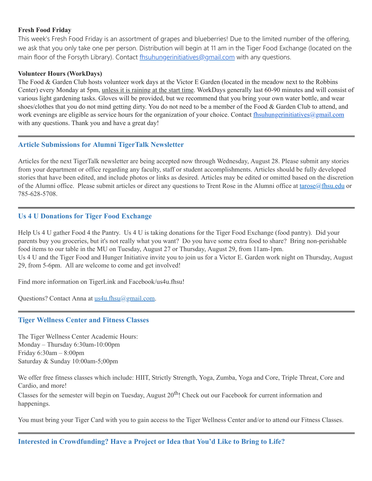## **Fresh Food Friday**

This week's Fresh Food Friday is an assortment of grapes and blueberries! Due to the limited number of the offering, we ask that you only take one per person. Distribution will begin at 11 am in the Tiger Food Exchange (located on the main floor of the Forsyth Library). Contact [fhsuhungerinitiatives@gmail.com](mailto:fhsuhungerinitiatives@gmail.com) with any questions.

#### **Volunteer Hours (WorkDays)**

The Food & Garden Club hosts volunteer work days at the Victor E Garden (located in the meadow next to the Robbins Center) every Monday at 5pm, unless it is raining at the start time. WorkDays generally last 60-90 minutes and will consist of various light gardening tasks. Gloves will be provided, but we recommend that you bring your own water bottle, and wear shoes/clothes that you do not mind getting dirty. You do not need to be a member of the Food & Garden Club to attend, and work evenings are eligible as service hours for the organization of your choice. Contact [fhsuhungerinitiatives@gmail.com](mailto:fhsuhungerinitiatives@gmail.com) with any questions. Thank you and have a great day!

## **Article Submissions for Alumni TigerTalk Newsletter**

Articles for the next TigerTalk newsletter are being accepted now through Wednesday, August 28. Please submit any stories from your department or office regarding any faculty, staff or student accomplishments. Articles should be fully developed stories that have been edited, and include photos or links as desired. Articles may be edited or omitted based on the discretion of the Alumni office. Please submit articles or direct any questions to Trent Rose in the Alumni office at [tarose@fhsu.edu](mailto:tarose@fhsu.edu) or 785-628-5708.

## **Us 4 U Donations for Tiger Food Exchange**

Help Us 4 U gather Food 4 the Pantry. Us 4 U is taking donations for the Tiger Food Exchange (food pantry). Did your parents buy you groceries, but it's not really what you want? Do you have some extra food to share? Bring non-perishable food items to our table in the MU on Tuesday, August 27 or Thursday, August 29, from 11am-1pm. Us 4 U and the Tiger Food and Hunger Initiative invite you to join us for a Victor E. Garden work night on Thursday, August 29, from 5-6pm. All are welcome to come and get involved!

Find more information on TigerLink and Facebook/us4u.fhsu!

Questions? Contact Anna at [us4u.fhsu@gmail.com.](mailto:us4u.fhsu@gmail.com)

#### **Tiger Wellness Center and Fitness Classes**

The Tiger Wellness Center Academic Hours: Monday – Thursday 6:30am-10:00pm Friday 6:30am – 8:00pm Saturday & Sunday 10:00am-5;00pm

We offer free fitness classes which include: HIIT, Strictly Strength, Yoga, Zumba, Yoga and Core, Triple Threat, Core and Cardio, and more!

Classes for the semester will begin on Tuesday, August  $20^{th}$ ! Check out our Facebook for current information and happenings.

You must bring your Tiger Card with you to gain access to the Tiger Wellness Center and/or to attend our Fitness Classes.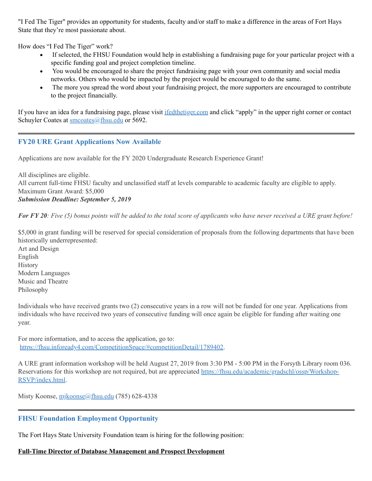"I Fed The Tiger" provides an opportunity for students, faculty and/or staff to make a difference in the areas of Fort Hays State that they're most passionate about.

How does "I Fed The Tiger" work?

- · If selected, the FHSU Foundation would help in establishing a fundraising page for your particular project with a specific funding goal and project completion timeline.
- · You would be encouraged to share the project fundraising page with your own community and social media networks. Others who would be impacted by the project would be encouraged to do the same.
- · The more you spread the word about your fundraising project, the more supporters are encouraged to contribute to the project financially.

If you have an idea for a fundraising page, please visit [ifedthetiger.com](https://ifedthetiger.blackbaud-sites.com/) and click "apply" in the upper right corner or contact Schuyler Coates at [smcoates@fhsu.edu](mailto:smcoates@fhsu.edu) or 5692.

# **FY20 URE Grant Applications Now Available**

Applications are now available for the FY 2020 Undergraduate Research Experience Grant!

All disciplines are eligible. All current full-time FHSU faculty and unclassified staff at levels comparable to academic faculty are eligible to apply. Maximum Grant Award: \$5,000 *Submission Deadline: September 5, 2019*

For FY 20: Five  $(5)$  bonus points will be added to the total score of applicants who have never received a URE grant before!

\$5,000 in grant funding will be reserved for special consideration of proposals from the following departments that have been historically underrepresented:

Art and Design English History Modern Languages Music and Theatre Philosophy

Individuals who have received grants two (2) consecutive years in a row will not be funded for one year. Applications from individuals who have received two years of consecutive funding will once again be eligible for funding after waiting one year.

For more information, and to access the application, go to: [https://fhsu.infoready4.com/CompetitionSpace/#competitionDetail/1789402.](https://fhsu.infoready4.com/CompetitionSpace/#competitionDetail/1789402)

A URE grant information workshop will be held August 27, 2019 from 3:30 PM - 5:00 PM in the Forsyth Library room 036. Reservations for this workshop are not required, but are appreciated [https://fhsu.edu/academic/gradschl/ossp/Workshop-](https://fhsu.edu/academic/gradschl/ossp/Workshop-RSVP/index.html)RSVP/index.html.

Misty Koonse, [mjkoonse@fhsu.edu](mailto:mjkoonse@fhsu.edu) (785) 628-4338

# **FHSU Foundation Employment Opportunity**

The Fort Hays State University Foundation team is hiring for the following position:

## **Full-Time Director of Database Management and Prospect Development**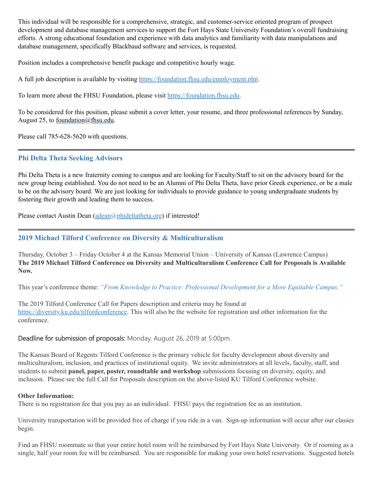This individual will be responsible for a comprehensive, strategic, and customer-service oriented program of prospect development and database management services to support the Fort Hays State University Foundation's overall fundraising efforts. A strong educational foundation and experience with data analytics and familiarity with data manipulations and database management, specifically Blackbaud software and services, is requested.

Position includes a comprehensive benefit package and competitive hourly wage.

A full job description is available by visiting <https://foundation.fhsu.edu/employment.php>.

To learn more about the FHSU Foundation, please visit [https://foundation.fhsu.edu](https://foundation.fhsu.edu/).

To be considered for this position, please submit a cover letter, your resume, and three professional references by Sunday, August 25, to [foundation@fhsu.edu](mailto:foundation@fhsu.edu).

Please call 785-628-5620 with questions.

## **Phi Delta Theta Seeking Advisors**

Phi Delta Theta is a new fraternity coming to campus and are looking for Faculty/Staff to sit on the advisory board for the new group being established. You do not need to be an Alumni of Phi Delta Theta, have prior Greek experience, or be a male to be on the advisory board. We are just looking for individuals to provide guidance to young undergraduate students by fostering their growth and leading them to success.

Please contact Austin Dean [\(adean@phideltatheta.org\)](mailto:adean@phideltatheta.org) if interested!

# **2019 Michael Tilford Conference on Diversity & Multiculturalism**

Thursday, October 3 – Friday October 4 at the Kansas Memorial Union – University of Kansas (Lawrence Campus) **The 2019 Michael Tilford Conference on Diversity and Multiculturalism Conference Call for Proposals is Available Now.**

This year's conference theme: *"From Knowledge to Practice: Professional Development for a More Equitable Campus."*

The 2019 Tilford Conference Call for Papers description and criteria may be found at <https://diversity.ku.edu/tilfordconference>. This will also be the website for registration and other information for the conference.

Deadline for submission of proposals: Monday, August 26, 2019 at 5:00pm.

The Kansas Board of Regents Tilford Conference is the primary vehicle for faculty development about diversity and multiculturalism, inclusion, and practices of institutional equity. We invite administrators at all levels, faculty, staff, and students to submit **panel, paper, poster, roundtable and workshop** submissions focusing on diversity, equity, and inclusion. Please see the full Call for Proposals description on the above-listed KU Tilford Conference website.

#### **Other Information:**

There is no registration fee that you pay as an individual. FHSU pays the registration fee as an institution.

University transportation will be provided free of charge if you ride in a van. Sign-up information will occur after our classes begin.

Find an FHSU roommate so that your entire hotel room will be reimbursed by Fort Hays State University. Or if rooming as a single, half your room fee will be reimbursed. You are responsible for making your own hotel reservations. Suggested hotels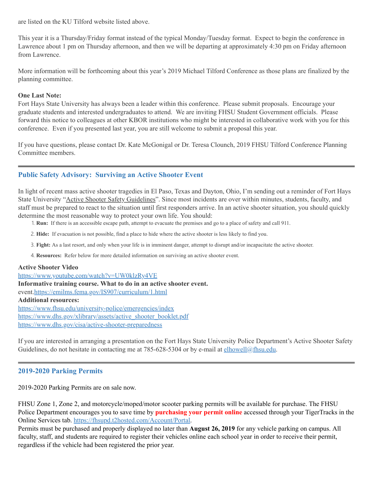are listed on the KU Tilford website listed above.

This year it is a Thursday/Friday format instead of the typical Monday/Tuesday format. Expect to begin the conference in Lawrence about 1 pm on Thursday afternoon, and then we will be departing at approximately 4:30 pm on Friday afternoon from Lawrence.

More information will be forthcoming about this year's 2019 Michael Tilford Conference as those plans are finalized by the planning committee.

#### **One Last Note:**

Fort Hays State University has always been a leader within this conference. Please submit proposals. Encourage your graduate students and interested undergraduates to attend. We are inviting FHSU Student Government officials. Please forward this notice to colleagues at other KBOR institutions who might be interested in collaborative work with you for this conference. Even if you presented last year, you are still welcome to submit a proposal this year.

If you have questions, please contact Dr. Kate McGonigal or Dr. Teresa Clounch, 2019 FHSU Tilford Conference Planning Committee members.

# **Public Safety Advisory: Surviving an Active Shooter Event**

In light of recent mass active shooter tragedies in El Paso, Texas and Dayton, Ohio, I'm sending out a reminder of Fort Hays State University "Active Shooter Safety Guidelines". Since most incidents are over within minutes, students, faculty, and staff must be prepared to react to the situation until first responders arrive. In an active shooter situation, you should quickly determine the most reasonable way to protect your own life. You should:

- 1. **Run:** If there is an accessible escape path, attempt to evacuate the premises and go to a place of safety and call 911.
- 2. **Hide:** If evacuation is not possible, find a place to hide where the active shooter is less likely to find you.
- 3. **Fight:** As a last resort, and only when your life is in imminent danger, attempt to disrupt and/or incapacitate the active shooter.
- 4. **Resources:** Refer below for more detailed information on surviving an active shooter event.

#### **Active Shooter Video**

<https://www.youtube.com/watch?v=UW0klzRy4VE> **Informative training course. What to do in an active shooter event.** event[.https://emilms.fema.gov/IS907/curriculum/1.html](https://emilms.fema.gov/IS907/curriculum/1.html) **Additional resources:** <https://www.fhsu.edu/university-police/emergencies/index> [https://www.dhs.gov/xlibrary/assets/active\\_shooter\\_booklet.pdf](https://www.dhs.gov/xlibrary/assets/active_shooter_booklet.pdf) <https://www.dhs.gov/cisa/active-shooter-preparedness>

If you are interested in arranging a presentation on the Fort Hays State University Police Department's Active Shooter Safety Guidelines, do not hesitate in contacting me at 785-628-5304 or by e-mail at [elhowell@fhsu.edu](mailto:elhowell@fhsu.edu).

## **2019-2020 Parking Permits**

2019-2020 Parking Permits are on sale now.

FHSU Zone 1, Zone 2, and motorcycle/moped/motor scooter parking permits will be available for purchase. The FHSU Police Department encourages you to save time by **purchasing your permit online** accessed through your TigerTracks in the Online Services tab. <https://fhsupd.t2hosted.com/Account/Portal>.

Permits must be purchased and properly displayed no later than **August 26, 2019** for any vehicle parking on campus. All faculty, staff, and students are required to register their vehicles online each school year in order to receive their permit, regardless if the vehicle had been registered the prior year.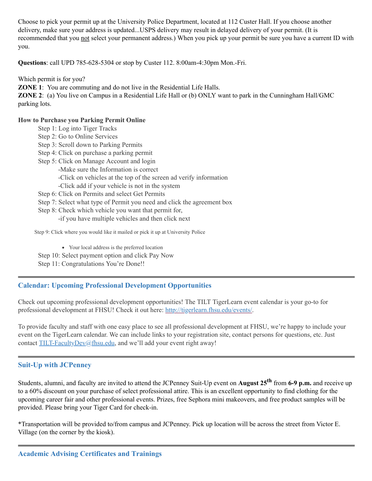Choose to pick your permit up at the University Police Department, located at 112 Custer Hall. If you choose another delivery, make sure your address is updated...USPS delivery may result in delayed delivery of your permit. (It is recommended that you not select your permanent address.) When you pick up your permit be sure you have a current ID with you.

**Questions**: call UPD 785-628-5304 or stop by Custer 112. 8:00am-4:30pm Mon.-Fri.

Which permit is for you?

**ZONE** 1: You are commuting and do not live in the Residential Life Halls.

**ZONE 2**: (a) You live on Campus in a Residential Life Hall or (b) ONLY want to park in the Cunningham Hall/GMC parking lots.

#### **How to Purchase you Parking Permit Online**

- Step 1: Log into Tiger Tracks
- Step 2: Go to Online Services
- Step 3: Scroll down to Parking Permits
- Step 4: Click on purchase a parking permit
- Step 5: Click on Manage Account and login
	- -Make sure the Information is correct
		- -Click on vehicles at the top of the screen ad verify information

-Click add if your vehicle is not in the system

- Step 6: Click on Permits and select Get Permits
- Step 7: Select what type of Permit you need and click the agreement box
- Step 8: Check which vehicle you want that permit for,
	- -if you have multiple vehicles and then click next

Step 9: Click where you would like it mailed or pick it up at University Police

Your local address is the preferred location

- Step 10: Select payment option and click Pay Now
- Step 11: Congratulations You're Done!!

# **Calendar: Upcoming Professional Development Opportunities**

Check out upcoming professional development opportunities! The TILT TigerLearn event calendar is your go-to for professional development at FHSU! Check it out here: <http://tigerlearn.fhsu.edu/events/>.

To provide faculty and staff with one easy place to see all professional development at FHSU, we're happy to include your event on the TigerLearn calendar. We can include links to your registration site, contact persons for questions, etc. Just contact [TILT-FacultyDev@fhsu.edu,](mailto:TILT-FacultyDev@fhsu.edu) and we'll add your event right away!

## **Suit-Up with JCPenney**

Students, alumni, and faculty are invited to attend the JCPenney Suit-Up event on **August 25 th** from **6-9 p.m.** and receive up to a 60% discount on your purchase of select professional attire. This is an excellent opportunity to find clothing for the upcoming career fair and other professional events. Prizes, free Sephora mini makeovers, and free product samples will be provided. Please bring your Tiger Card for check-in.

\*Transportation will be provided to/from campus and JCPenney. Pick up location will be across the street from Victor E. Village (on the corner by the kiosk).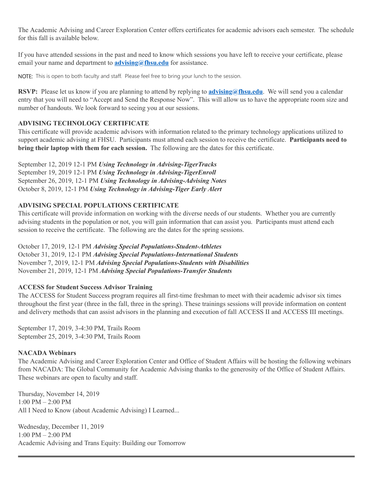The Academic Advising and Career Exploration Center offers certificates for academic advisors each semester. The schedule for this fall is available below.

If you have attended sessions in the past and need to know which sessions you have left to receive your certificate, please email your name and department to **[advising@fhsu.edu](mailto:advising@fhsu.edu)** for assistance.

NOTE: This is open to both faculty and staff. Please feel free to bring your lunch to the session.

**RSVP:** Please let us know if you are planning to attend by replying to **[advising@fhsu.edu](mailto:advising@fhsu.edu)**. We will send you a calendar entry that you will need to "Accept and Send the Response Now" . This will allow us to have the appropriate room size and number of handouts. We look forward to seeing you at our sessions.

# **ADVISING TECHNOLOGY CERTIFICATE**

This certificate will provide academic advisors with information related to the primary technology applications utilized to support academic advising at FHSU. Participants must attend each session to receive the certificate. **Participants need to bring their laptop with them for each session.** The following are the dates for this certificate.

September 12, 2019 12-1 PM *Using Technology in Advising-TigerTracks* September 19, 2019 12-1 PM *Using Technology in Advising-TigerEnroll* September 26, 2019, 12-1 PM *Using Technology in Advising-Advising Notes* October 8, 2019, 12-1 PM *Using Technology in Advising-Tiger Early Alert*

# **ADVISING SPECIAL POPULATIONS CERTIFICATE**

This certificate will provide information on working with the diverse needs of our students. Whether you are currently advising students in the population or not, you will gain information that can assist you. Participants must attend each session to receive the certificate. The following are the dates for the spring sessions.

October 17, 2019, 12-1 PM *Advising Special Populations-Student-Athletes* October 31, 2019, 12-1 PM *Advising Special Populations-International Students* November 7, 2019, 12-1 PM *Advising Special Populations-Students with Disabilities* November 21, 2019, 12-1 PM *Advising Special Populations-Transfer Students*

## **ACCESS for Student Success Advisor Training**

The ACCESS for Student Success program requires all first-time freshman to meet with their academic advisor six times throughout the first year (three in the fall, three in the spring). These trainings sessions will provide information on content and delivery methods that can assist advisors in the planning and execution of fall ACCESS II and ACCESS III meetings.

September 17, 2019, 3-4:30 PM, Trails Room September 25, 2019, 3-4:30 PM, Trails Room

# **NACADA Webinars**

The Academic Advising and Career Exploration Center and Office of Student Affairs will be hosting the following webinars from NACADA: The Global Community for Academic Advising thanks to the generosity of the Office of Student Affairs. These webinars are open to faculty and staff.

Thursday, November 14, 2019 1:00 PM – 2:00 PM All I Need to Know (about Academic Advising) I Learned...

Wednesday, December 11, 2019 1:00 PM – 2:00 PM Academic Advising and Trans Equity: Building our Tomorrow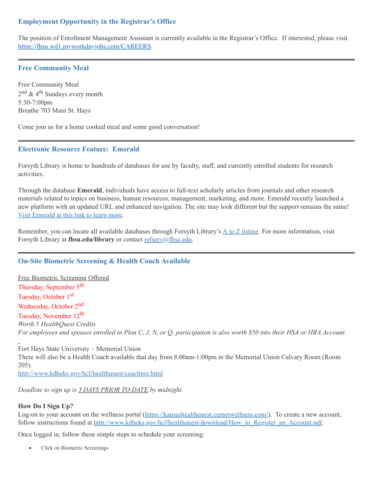# **Employment Opportunity in the Registrar's Office**

The position of Enrollment Management Assistant is currently available in the Registrar's Office. If interested, please visit [https://fhsu.wd1.myworkdayjobs.com/CAREERS.](https://fhsu.wd1.myworkdayjobs.com/CAREERS)

## **Free Community Meal**

Free Community Meal 2<sup>nd</sup> & 4<sup>th</sup> Sundays every month 5:30-7:00pm Breathe 703 Main St. Hays

Come join us for a home cooked meal and some good conversation!

## **Electronic Resource Feature: Emerald**

Forsyth Library is home to hundreds of databases for use by faculty, staff, and currently enrolled students for research activities.

Through the database **Emerald**, individuals have access to full-text scholarly articles from journals and other research materials related to topics on business, human resources, management, marketing, and more. Emerald recently launched a new platform with an updated URL and enhanced navigation. The site may look different but the support remains the same! Visit [Emerald](http://ezproxy.fhsu.edu:2048/login?url=https://www.emerald.com/insight) at this link to learn more.

Remember, you can locate all available databases through Forsyth Library's A to Z [listing.](https://fhsuguides.fhsu.edu/az.php) For more information, visit Forsyth Library at **fhsu.edu/library** or contact [refserv@fhsu.edu.](mailto:refserv@fhsu.edu)

# **On-Site Biometric Screening & Health Coach Available**

Free Biometric Screening Offered Thursday, September 5<sup>th</sup> Tuesday, October 1<sup>st</sup> Wednesday, October 2<sup>nd</sup> Tuesday, November 12<sup>th</sup> *Worth 5 HealthQuest Credits* For employees and spouses enrolled in Plan C, J, N, or Q, participation is also worth \$50 into their HSA or HRA Account.

Fort Hays State University – Memorial Union There will also be a Health Coach available that day from 8:00am-1:00pm in the Memorial Union Calvary Room (Room 205).

<http://www.kdheks.gov/hcf/healthquest/coaching.html>

*Deadline to sign up is 3 DAYS PRIOR TO DATE by midnight.*

## **How Do I Sign Up?**

Log-on to your account on the wellness portal [\(https://kansashealthquest.cernerwellness.com/\)](https://kansashealthquest.cernerwellness.com/). To create a new account, follow instructions found at [http://www.kdheks.gov/hcf/healthquest/download/How\\_to\\_Register\\_an\\_Account.pdf](http://www.kdheks.gov/hcf/healthquest/download/How_to_Register_an_Account.pdf).

Once logged in, follow these simple steps to schedule your screening:

<span id="page-8-0"></span>Click on Biometric Screenings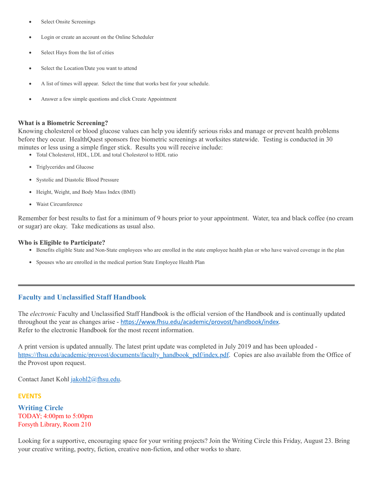- Select Onsite Screenings
- Login or create an account on the Online Scheduler
- Select Hays from the list of cities
- Select the Location/Date you want to attend
- A list of times will appear. Select the time that works best for your schedule.
- Answer a few simple questions and click Create Appointment

#### **What is a Biometric Screening?**

Knowing cholesterol or blood glucose values can help you identify serious risks and manage or prevent health problems before they occur. HealthQuest sponsors free biometric screenings at worksites statewide. Testing is conducted in 30 minutes or less using a simple finger stick. Results you will receive include:

- Total Cholesterol, HDL, LDL and total Cholesterol to HDL ratio
- Triglycerides and Glucose
- Systolic and Diastolic Blood Pressure
- Height, Weight, and Body Mass Index (BMI)
- Waist Circumference

Remember for best results to fast for a minimum of 9 hours prior to your appointment. Water, tea and black coffee (no cream or sugar) are okay. Take medications as usual also.

#### **Who is Eligible to Participate?**

- Benefits eligible State and Non-State employees who are enrolled in the state employee health plan or who have waived coverage in the plan
- Spouses who are enrolled in the medical portion State Employee Health Plan

#### **Faculty and Unclassified Staff Handbook**

The *electronic* Faculty and Unclassified Staff Handbook is the official version of the Handbook and is continually updated throughout the year as changes arise - https://www.fhsu.edu/academic/provost/handbook/index. Refer to the electronic Handbook for the most recent information.

A print version is updated annually. The latest print update was completed in July 2019 and has been uploaded [https://fhsu.edu/academic/provost/documents/faculty\\_handbook\\_pdf/index.pdf.](https://fhsu.edu/academic/provost/documents/faculty_handbook_pdf/index.pdf) Copies are also available from the Office of the Provost upon request.

Contact Janet Kohl [jakohl2@fhsu.edu](mailto:jakohl2@fhsu.edu).

#### **EVENTS**

**Writing Circle** TODAY; 4:00pm to 5:00pm Forsyth Library, Room 210

Looking for a supportive, encouraging space for your writing projects? Join the Writing Circle this Friday, August 23. Bring your creative writing, poetry, fiction, creative non-fiction, and other works to share.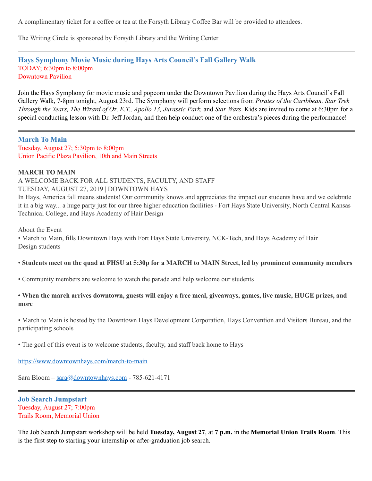A complimentary ticket for a coffee or tea at the Forsyth Library Coffee Bar will be provided to attendees.

The Writing Circle is sponsored by Forsyth Library and the Writing Center

#### **Hays Symphony Movie Music during Hays Arts Council's Fall Gallery Walk** TODAY; 6:30pm to 8:00pm Downtown Pavilion

Join the Hays Symphony for movie music and popcorn under the Downtown Pavilion during the Hays Arts Council's Fall Gallery Walk, 7-8pm tonight, August 23rd. The Symphony will perform selections from *Pirates of the Caribbean, Star Trek Through the Years, The Wizard of Oz, E.T., Apollo 13, Jurassic Park,* and *Star Wars*. Kids are invited to come at 6:30pm for a special conducting lesson with Dr. Jeff Jordan, and then help conduct one of the orchestra's pieces during the performance!

**March To Main** Tuesday, August 27; 5:30pm to 8:00pm Union Pacific Plaza Pavilion, 10th and Main Streets

#### **MARCH TO MAIN**

A WELCOME BACK FOR ALL STUDENTS, FACULTY, AND STAFF

TUESDAY, AUGUST 27, 2019 | DOWNTOWN HAYS

In Hays, America fall means students! Our community knows and appreciates the impact our students have and we celebrate it in a big way... a huge party just for our three higher education facilities - Fort Hays State University, North Central Kansas Technical College, and Hays Academy of Hair Design

About the Event

• March to Main, fills Downtown Hays with Fort Hays State University, NCK-Tech, and Hays Academy of Hair Design students

#### • Students meet on the quad at FHSU at 5:30p for a MARCH to MAIN Street, led by prominent community members

• Community members are welcome to watch the parade and help welcome our students

#### • When the march arrives downtown, guests will enjoy a free meal, giveaways, games, live music, HUGE prizes, and **more**

• March to Main is hosted by the Downtown Hays Development Corporation, Hays Convention and Visitors Bureau, and the participating schools

• The goal of this event is to welcome students, faculty, and staff back home to Hays

<https://www.downtownhays.com/march-to-main>

Sara Bloom - [sara@downtownhays.com](mailto:sara@downtownhays.com) - 785-621-4171

#### **Job Search Jumpstart** Tuesday, August 27; 7:00pm Trails Room, Memorial Union

The Job Search Jumpstart workshop will be held **Tuesday, August 27**, at **7 p.m.** in the **Memorial Union Trails Room**. This is the first step to starting your internship or after-graduation job search.